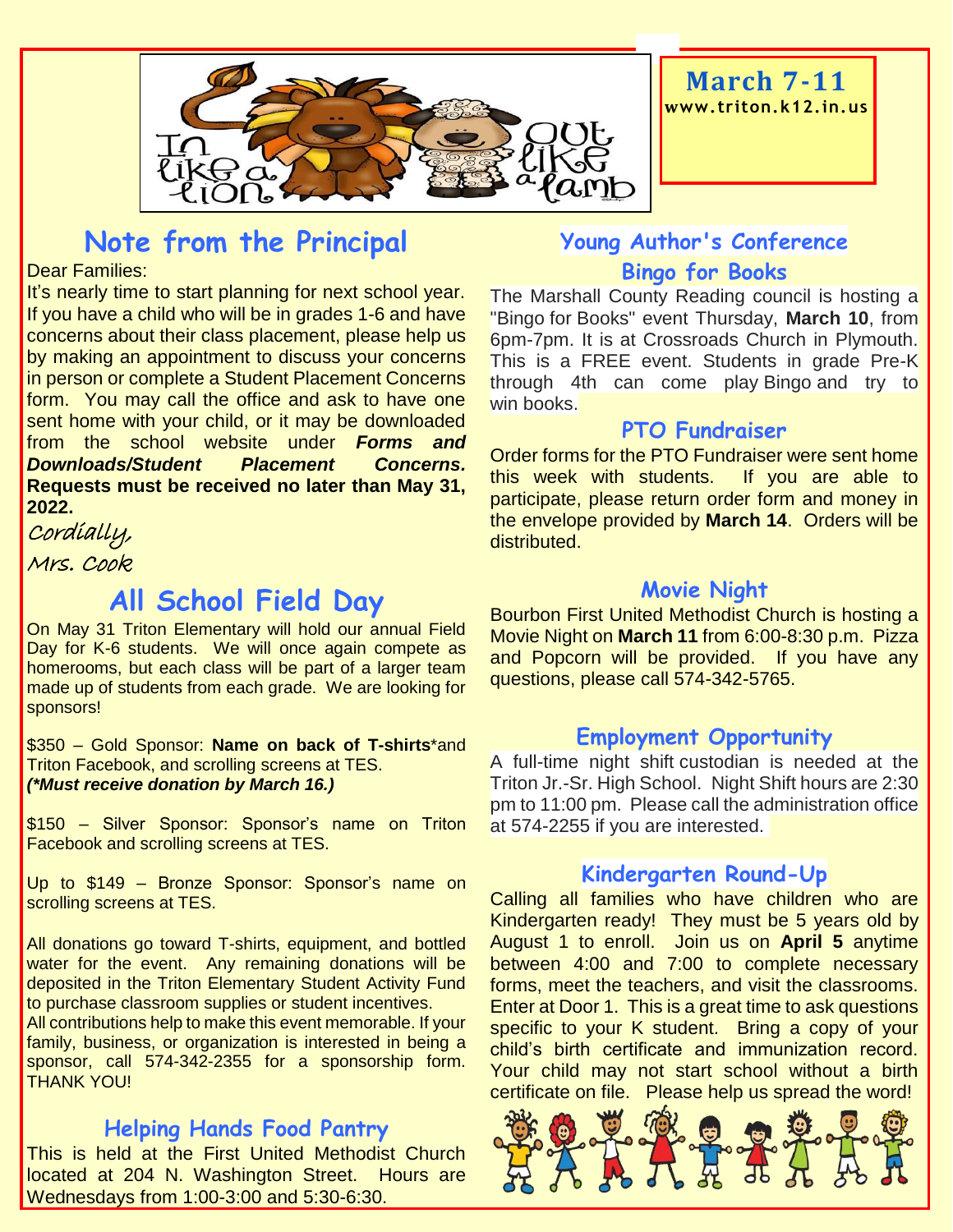

## **Note from the Principal**

#### Dear Families:

It's nearly time to start planning for next school year. If you have a child who will be in grades 1-6 and have concerns about their class placement, please help us by making an appointment to discuss your concerns in person or complete a Student Placement Concerns form. You may call the office and ask to have one sent home with your child, or it may be downloaded from the school website under *Forms and Downloads/Student Placement Concerns.*  **Requests must be received no later than May 31, 2022.**

Cordially, Mrs. Cook

## **All School Field Day**

On May 31 Triton Elementary will hold our annual Field Day for K-6 students. We will once again compete as homerooms, but each class will be part of a larger team made up of students from each grade. We are looking for sponsors!

\$350 – Gold Sponsor: **Name on back of T-shirts**\*and Triton Facebook, and scrolling screens at TES. *(\*Must receive donation by March 16.)*

\$150 – Silver Sponsor: Sponsor's name on Triton Facebook and scrolling screens at TES.

Up to \$149 – Bronze Sponsor: Sponsor's name on scrolling screens at TES.

All donations go toward T-shirts, equipment, and bottled water for the event. Any remaining donations will be deposited in the Triton Elementary Student Activity Fund to purchase classroom supplies or student incentives.

All contributions help to make this event memorable. If your family, business, or organization is interested in being a sponsor, call 574-342-2355 for a sponsorship form. THANK YOU!

#### **Helping Hands Food Pantry**

This is held at the First United Methodist Church located at 204 N. Washington Street. Hours are Wednesdays from 1:00-3:00 and 5:30-6:30.

## **Young Author's Conference Bingo for Books**

The Marshall County Reading council is hosting a "Bingo for Books" event Thursday, **March 10**, from 6pm-7pm. It is at Crossroads Church in Plymouth. This is a FREE event. Students in grade Pre-K through 4th can come play Bingo and try to win books.

#### **PTO Fundraiser**

Order forms for the PTO Fundraiser were sent home this week with students. If you are able to participate, please return order form and money in the envelope provided by **March 14**. Orders will be distributed.

#### **Movie Night**

Bourbon First United Methodist Church is hosting a Movie Night on **March 11** from 6:00-8:30 p.m. Pizza and Popcorn will be provided. If you have any questions, please call 574-342-5765.

#### **Employment Opportunity**

A full-time night shift custodian is needed at the Triton Jr.-Sr. High School. Night Shift hours are 2:30 pm to 11:00 pm. Please call the administration office at 574-2255 if you are interested.

#### **Kindergarten Round-Up**

Calling all families who have children who are Kindergarten ready! They must be 5 years old by August 1 to enroll. Join us on **April 5** anytime between 4:00 and 7:00 to complete necessary forms, meet the teachers, and visit the classrooms. Enter at Door 1. This is a great time to ask questions specific to your K student. Bring a copy of your child's birth certificate and immunization record. Your child may not start school without a birth certificate on file. Please help us spread the word!